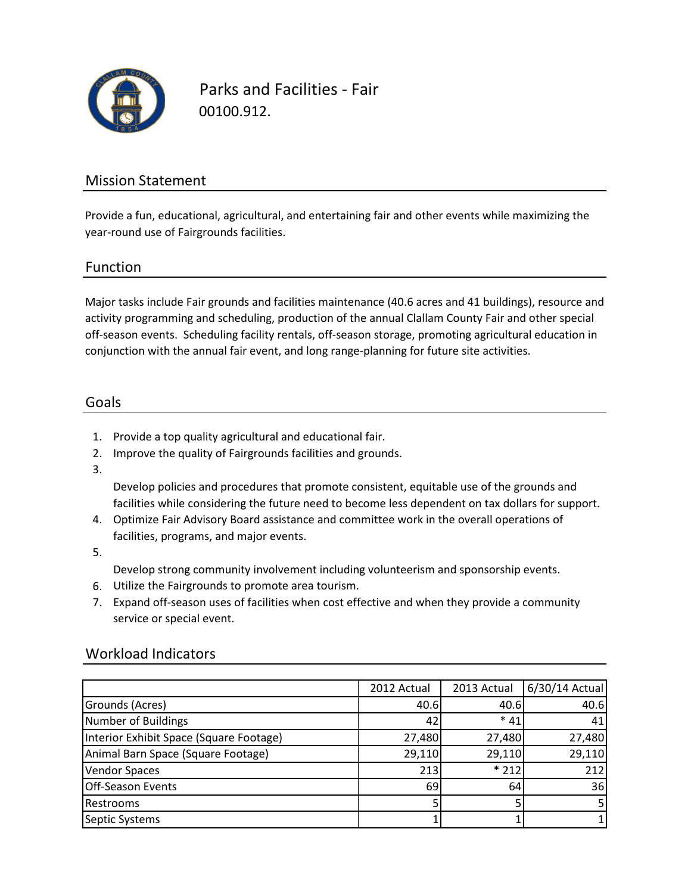

Parks and Facilities - Fair 00100.912.

### Mission Statement

Provide a fun, educational, agricultural, and entertaining fair and other events while maximizing the year-round use of Fairgrounds facilities.

#### Function

Major tasks include Fair grounds and facilities maintenance (40.6 acres and 41 buildings), resource and activity programming and scheduling, production of the annual Clallam County Fair and other special off-season events. Scheduling facility rentals, off-season storage, promoting agricultural education in conjunction with the annual fair event, and long range-planning for future site activities.

### Goals

- 1. Provide a top quality agricultural and educational fair.
- 2. Improve the quality of Fairgrounds facilities and grounds.
- 3.

Develop policies and procedures that promote consistent, equitable use of the grounds and facilities while considering the future need to become less dependent on tax dollars for support.

- 4. Optimize Fair Advisory Board assistance and committee work in the overall operations of facilities, programs, and major events.
- 5.

Develop strong community involvement including volunteerism and sponsorship events.

- 6. Utilize the Fairgrounds to promote area tourism.
- 7. Expand off-season uses of facilities when cost effective and when they provide a community service or special event.

|                                         | 2012 Actual | 2013 Actual | 6/30/14 Actual |
|-----------------------------------------|-------------|-------------|----------------|
| Grounds (Acres)                         | 40.6        | 40.6        | 40.6           |
| Number of Buildings                     | 42          | $*41$       | 41             |
| Interior Exhibit Space (Square Footage) | 27,480      | 27,480      | 27,480         |
| Animal Barn Space (Square Footage)      | 29,110      | 29,110      | 29,110         |
| <b>Vendor Spaces</b>                    | 213         | $*212$      | 212            |
| <b>Off-Season Events</b>                | 69          | 64          | 36             |
| Restrooms                               |             |             |                |
| Septic Systems                          |             |             |                |

### Workload Indicators